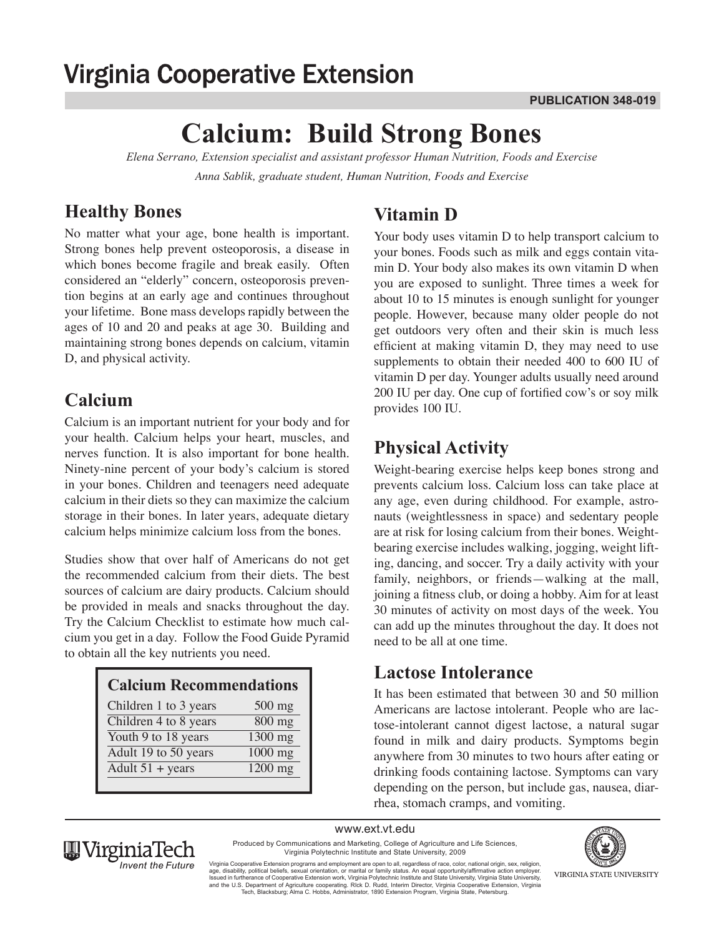## **Virginia Cooperative Extension**

# **Calcium: Build Strong Bones**

*Elena Serrano, Extension specialist and assistant professor Human Nutrition, Foods and Exercise Anna Sablik, graduate student, Human Nutrition, Foods and Exercise* 

### **Healthy Bones**

No matter what your age, bone health is important. Strong bones help prevent osteoporosis, a disease in which bones become fragile and break easily. Often considered an "elderly" concern, osteoporosis prevention begins at an early age and continues throughout your lifetime. Bone mass develops rapidly between the ages of 10 and 20 and peaks at age 30. Building and maintaining strong bones depends on calcium, vitamin D, and physical activity.

#### **Calcium**

Calcium is an important nutrient for your body and for your health. Calcium helps your heart, muscles, and nerves function. It is also important for bone health. Ninety-nine percent of your body's calcium is stored in your bones. Children and teenagers need adequate calcium in their diets so they can maximize the calcium storage in their bones. In later years, adequate dietary calcium helps minimize calcium loss from the bones.

Studies show that over half of Americans do not get the recommended calcium from their diets. The best sources of calcium are dairy products. Calcium should be provided in meals and snacks throughout the day. Try the Calcium Checklist to estimate how much calcium you get in a day. Follow the Food Guide Pyramid to obtain all the key nutrients you need.

| <b>Calcium Recommendations</b> |          |  |  |  |  |  |
|--------------------------------|----------|--|--|--|--|--|
| Children 1 to 3 years          | $500$ mg |  |  |  |  |  |
| Children 4 to 8 years          | 800 mg   |  |  |  |  |  |
| Youth 9 to 18 years            | 1300 mg  |  |  |  |  |  |
| Adult 19 to 50 years           | 1000 mg  |  |  |  |  |  |
| Adult $51 + \text{years}$      | 1200 mg  |  |  |  |  |  |
|                                |          |  |  |  |  |  |

## **Vitamin D**

Your body uses vitamin D to help transport calcium to your bones. Foods such as milk and eggs contain vitamin D. Your body also makes its own vitamin D when you are exposed to sunlight. Three times a week for about 10 to 15 minutes is enough sunlight for younger people. However, because many older people do not get outdoors very often and their skin is much less efficient at making vitamin D, they may need to use supplements to obtain their needed 400 to 600 IU of vitamin D per day. Younger adults usually need around 200 IU per day. One cup of fortified cow's or soy milk provides 100 IU.

## **Physical Activity**

Weight-bearing exercise helps keep bones strong and prevents calcium loss. Calcium loss can take place at any age, even during childhood. For example, astronauts (weightlessness in space) and sedentary people are at risk for losing calcium from their bones. Weightbearing exercise includes walking, jogging, weight lifting, dancing, and soccer. Try a daily activity with your family, neighbors, or friends—walking at the mall, joining a fitness club, or doing a hobby. Aim for at least 30 minutes of activity on most days of the week. You can add up the minutes throughout the day. It does not need to be all at one time.

#### **Lactose Intolerance**

It has been estimated that between 30 and 50 million Americans are lactose intolerant. People who are lactose-intolerant cannot digest lactose, a natural sugar found in milk and dairy products. Symptoms begin anywhere from 30 minutes to two hours after eating or drinking foods containing lactose. Symptoms can vary depending on the person, but include gas, nausea, diarrhea, stomach cramps, and vomiting.

www.ext.vt.edu Produced by Communications and Marketing, College of Agriculture and Life Sciences,



Virginia Polytechnic Institute and State University, 2009 Virginia Cooperative Extension programs and employment are open to all, regardless of race, color, national origin, sex, religion,<br>age, disability, political beliefs, sexual orientation, or marital or family status. An equ and the U.S. Department of Agriculture cooperating. RIck D. Rudd, Interim Director, Virginia Cooperative Extension, Virginia<br>Tech, Blacksburg; Alma C. Hobbs, Administrator, 1890 Extension Program, Virginia State, Petersbur

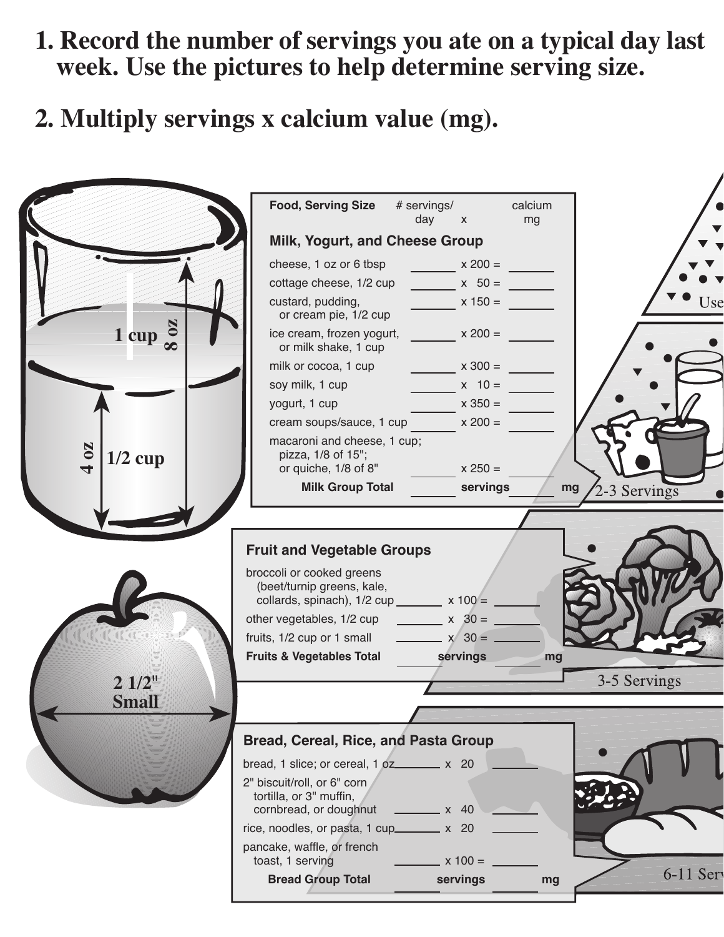- 1. Record the number of servings you ate on a typical day last week. Use the pictures to help determine serving size.
- 2. Multiply servings x calcium value (mg).

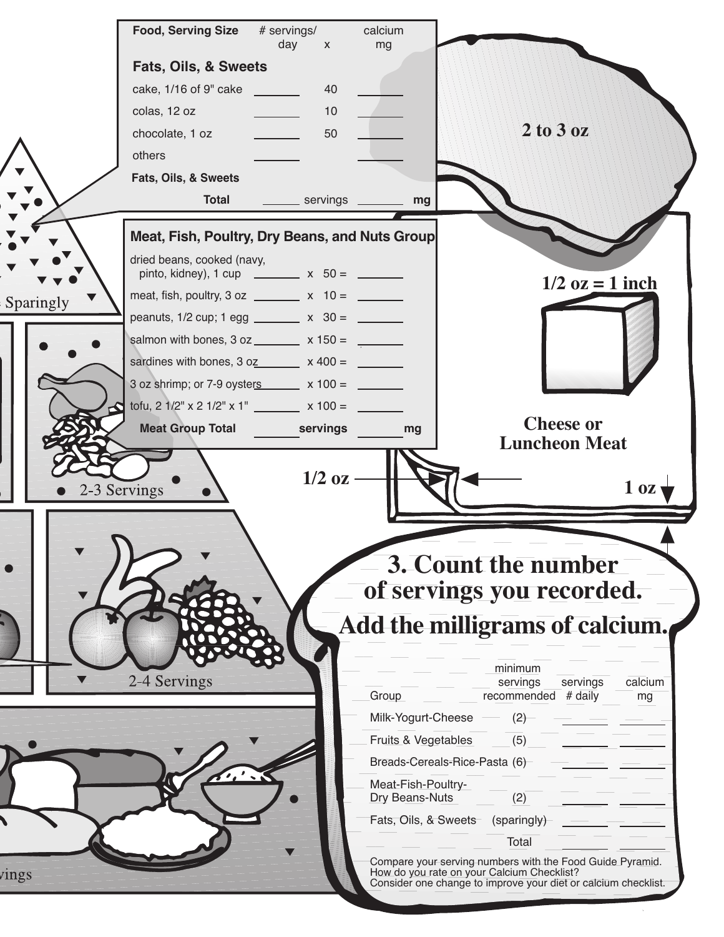